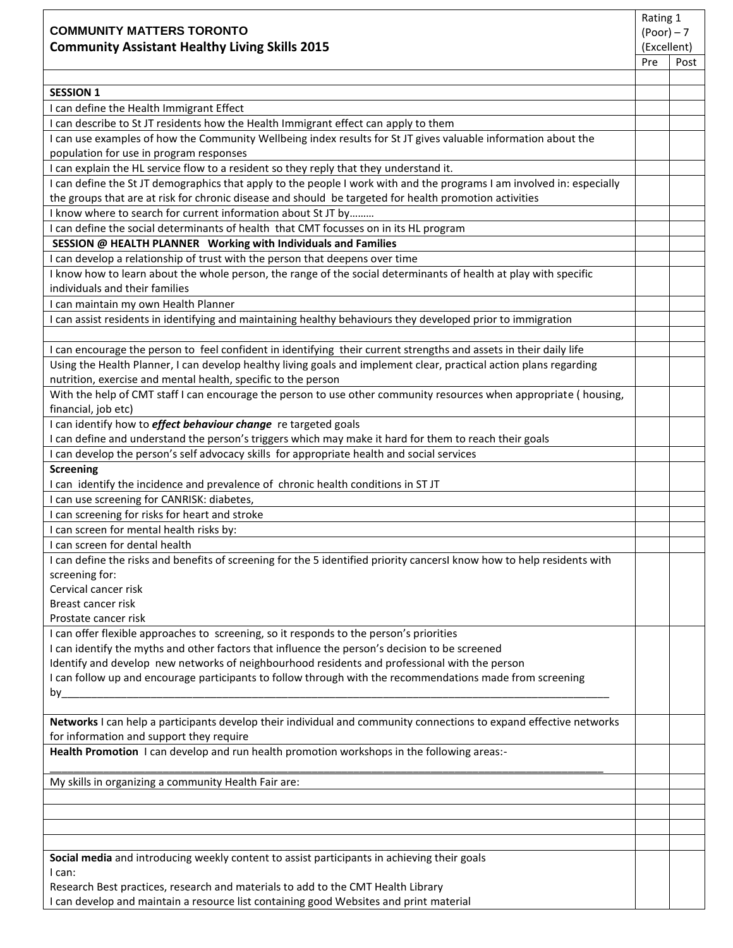| <b>COMMUNITY MATTERS TORONTO</b>                                                                                                                                                                                                 | Rating 1<br>$(math> Poor) - 7$ |             |  |
|----------------------------------------------------------------------------------------------------------------------------------------------------------------------------------------------------------------------------------|--------------------------------|-------------|--|
| <b>Community Assistant Healthy Living Skills 2015</b>                                                                                                                                                                            |                                | (Excellent) |  |
|                                                                                                                                                                                                                                  | Pre                            | Post        |  |
|                                                                                                                                                                                                                                  |                                |             |  |
| <b>SESSION 1</b><br>I can define the Health Immigrant Effect                                                                                                                                                                     |                                |             |  |
| I can describe to St JT residents how the Health Immigrant effect can apply to them                                                                                                                                              |                                |             |  |
| I can use examples of how the Community Wellbeing index results for St JT gives valuable information about the                                                                                                                   |                                |             |  |
| population for use in program responses                                                                                                                                                                                          |                                |             |  |
| I can explain the HL service flow to a resident so they reply that they understand it.                                                                                                                                           |                                |             |  |
| I can define the St JT demographics that apply to the people I work with and the programs I am involved in: especially<br>the groups that are at risk for chronic disease and should be targeted for health promotion activities |                                |             |  |
| I know where to search for current information about St JT by                                                                                                                                                                    |                                |             |  |
| I can define the social determinants of health that CMT focusses on in its HL program                                                                                                                                            |                                |             |  |
| SESSION @ HEALTH PLANNER Working with Individuals and Families                                                                                                                                                                   |                                |             |  |
| I can develop a relationship of trust with the person that deepens over time                                                                                                                                                     |                                |             |  |
| I know how to learn about the whole person, the range of the social determinants of health at play with specific<br>individuals and their families                                                                               |                                |             |  |
| I can maintain my own Health Planner                                                                                                                                                                                             |                                |             |  |
| I can assist residents in identifying and maintaining healthy behaviours they developed prior to immigration                                                                                                                     |                                |             |  |
| I can encourage the person to feel confident in identifying their current strengths and assets in their daily life                                                                                                               |                                |             |  |
| Using the Health Planner, I can develop healthy living goals and implement clear, practical action plans regarding                                                                                                               |                                |             |  |
| nutrition, exercise and mental health, specific to the person                                                                                                                                                                    |                                |             |  |
| With the help of CMT staff I can encourage the person to use other community resources when appropriate (housing,<br>financial, job etc)                                                                                         |                                |             |  |
| I can identify how to <i>effect behaviour change</i> re targeted goals<br>I can define and understand the person's triggers which may make it hard for them to reach their goals                                                 |                                |             |  |
| I can develop the person's self advocacy skills for appropriate health and social services                                                                                                                                       |                                |             |  |
| <b>Screening</b>                                                                                                                                                                                                                 |                                |             |  |
| I can identify the incidence and prevalence of chronic health conditions in ST JT                                                                                                                                                |                                |             |  |
| I can use screening for CANRISK: diabetes,                                                                                                                                                                                       |                                |             |  |
| I can screening for risks for heart and stroke                                                                                                                                                                                   |                                |             |  |
| I can screen for mental health risks by:                                                                                                                                                                                         |                                |             |  |
| I can screen for dental health                                                                                                                                                                                                   |                                |             |  |
| I can define the risks and benefits of screening for the 5 identified priority cancersI know how to help residents with                                                                                                          |                                |             |  |
| screening for:                                                                                                                                                                                                                   |                                |             |  |
| Cervical cancer risk<br>Breast cancer risk                                                                                                                                                                                       |                                |             |  |
| Prostate cancer risk                                                                                                                                                                                                             |                                |             |  |
| I can offer flexible approaches to screening, so it responds to the person's priorities                                                                                                                                          |                                |             |  |
| I can identify the myths and other factors that influence the person's decision to be screened                                                                                                                                   |                                |             |  |
| Identify and develop new networks of neighbourhood residents and professional with the person                                                                                                                                    |                                |             |  |
| I can follow up and encourage participants to follow through with the recommendations made from screening                                                                                                                        |                                |             |  |
| by                                                                                                                                                                                                                               |                                |             |  |
| Networks I can help a participants develop their individual and community connections to expand effective networks                                                                                                               |                                |             |  |
| for information and support they require<br>Health Promotion I can develop and run health promotion workshops in the following areas:-                                                                                           |                                |             |  |
| My skills in organizing a community Health Fair are:                                                                                                                                                                             |                                |             |  |
|                                                                                                                                                                                                                                  |                                |             |  |
|                                                                                                                                                                                                                                  |                                |             |  |
|                                                                                                                                                                                                                                  |                                |             |  |
|                                                                                                                                                                                                                                  |                                |             |  |
| Social media and introducing weekly content to assist participants in achieving their goals<br>I can:                                                                                                                            |                                |             |  |
| Research Best practices, research and materials to add to the CMT Health Library                                                                                                                                                 |                                |             |  |
| I can develop and maintain a resource list containing good Websites and print material                                                                                                                                           |                                |             |  |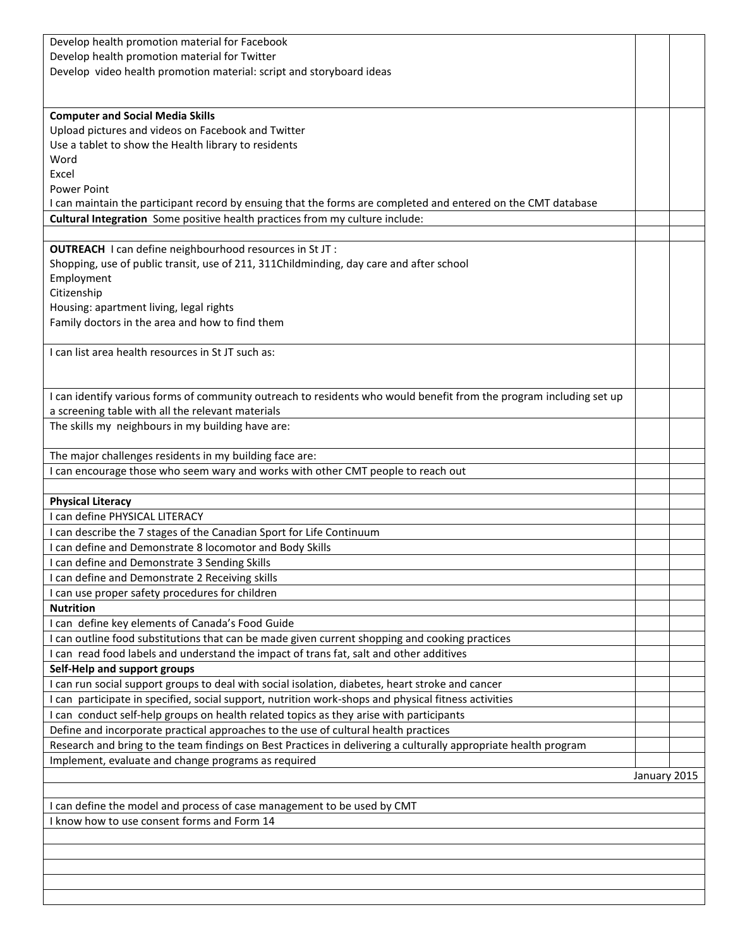| Develop health promotion material for Facebook                                                                                                                                                         |              |  |  |  |
|--------------------------------------------------------------------------------------------------------------------------------------------------------------------------------------------------------|--------------|--|--|--|
| Develop health promotion material for Twitter                                                                                                                                                          |              |  |  |  |
| Develop video health promotion material: script and storyboard ideas                                                                                                                                   |              |  |  |  |
|                                                                                                                                                                                                        |              |  |  |  |
|                                                                                                                                                                                                        |              |  |  |  |
| <b>Computer and Social Media Skills</b>                                                                                                                                                                |              |  |  |  |
| Upload pictures and videos on Facebook and Twitter                                                                                                                                                     |              |  |  |  |
| Use a tablet to show the Health library to residents                                                                                                                                                   |              |  |  |  |
| Word                                                                                                                                                                                                   |              |  |  |  |
| Excel                                                                                                                                                                                                  |              |  |  |  |
| <b>Power Point</b>                                                                                                                                                                                     |              |  |  |  |
| I can maintain the participant record by ensuing that the forms are completed and entered on the CMT database                                                                                          |              |  |  |  |
| Cultural Integration Some positive health practices from my culture include:                                                                                                                           |              |  |  |  |
|                                                                                                                                                                                                        |              |  |  |  |
| OUTREACH I can define neighbourhood resources in St JT :                                                                                                                                               |              |  |  |  |
| Shopping, use of public transit, use of 211, 311Childminding, day care and after school                                                                                                                |              |  |  |  |
| Employment                                                                                                                                                                                             |              |  |  |  |
| Citizenship                                                                                                                                                                                            |              |  |  |  |
| Housing: apartment living, legal rights                                                                                                                                                                |              |  |  |  |
| Family doctors in the area and how to find them                                                                                                                                                        |              |  |  |  |
|                                                                                                                                                                                                        |              |  |  |  |
| I can list area health resources in St JT such as:                                                                                                                                                     |              |  |  |  |
|                                                                                                                                                                                                        |              |  |  |  |
|                                                                                                                                                                                                        |              |  |  |  |
| I can identify various forms of community outreach to residents who would benefit from the program including set up                                                                                    |              |  |  |  |
| a screening table with all the relevant materials                                                                                                                                                      |              |  |  |  |
| The skills my neighbours in my building have are:                                                                                                                                                      |              |  |  |  |
|                                                                                                                                                                                                        |              |  |  |  |
| The major challenges residents in my building face are:                                                                                                                                                |              |  |  |  |
| I can encourage those who seem wary and works with other CMT people to reach out                                                                                                                       |              |  |  |  |
| <b>Physical Literacy</b>                                                                                                                                                                               |              |  |  |  |
| I can define PHYSICAL LITERACY                                                                                                                                                                         |              |  |  |  |
| I can describe the 7 stages of the Canadian Sport for Life Continuum                                                                                                                                   |              |  |  |  |
| I can define and Demonstrate 8 locomotor and Body Skills                                                                                                                                               |              |  |  |  |
| I can define and Demonstrate 3 Sending Skills                                                                                                                                                          |              |  |  |  |
|                                                                                                                                                                                                        |              |  |  |  |
| I can define and Demonstrate 2 Receiving skills                                                                                                                                                        |              |  |  |  |
| I can use proper safety procedures for children<br><b>Nutrition</b>                                                                                                                                    |              |  |  |  |
| I can define key elements of Canada's Food Guide                                                                                                                                                       |              |  |  |  |
|                                                                                                                                                                                                        |              |  |  |  |
| I can outline food substitutions that can be made given current shopping and cooking practices<br>I can read food labels and understand the impact of trans fat, salt and other additives              |              |  |  |  |
| Self-Help and support groups                                                                                                                                                                           |              |  |  |  |
| I can run social support groups to deal with social isolation, diabetes, heart stroke and cancer                                                                                                       |              |  |  |  |
| I can participate in specified, social support, nutrition work-shops and physical fitness activities                                                                                                   |              |  |  |  |
| I can conduct self-help groups on health related topics as they arise with participants                                                                                                                |              |  |  |  |
|                                                                                                                                                                                                        |              |  |  |  |
| Define and incorporate practical approaches to the use of cultural health practices<br>Research and bring to the team findings on Best Practices in delivering a culturally appropriate health program |              |  |  |  |
| Implement, evaluate and change programs as required                                                                                                                                                    |              |  |  |  |
|                                                                                                                                                                                                        | January 2015 |  |  |  |
|                                                                                                                                                                                                        |              |  |  |  |
| I can define the model and process of case management to be used by CMT                                                                                                                                |              |  |  |  |
| I know how to use consent forms and Form 14                                                                                                                                                            |              |  |  |  |
|                                                                                                                                                                                                        |              |  |  |  |
|                                                                                                                                                                                                        |              |  |  |  |